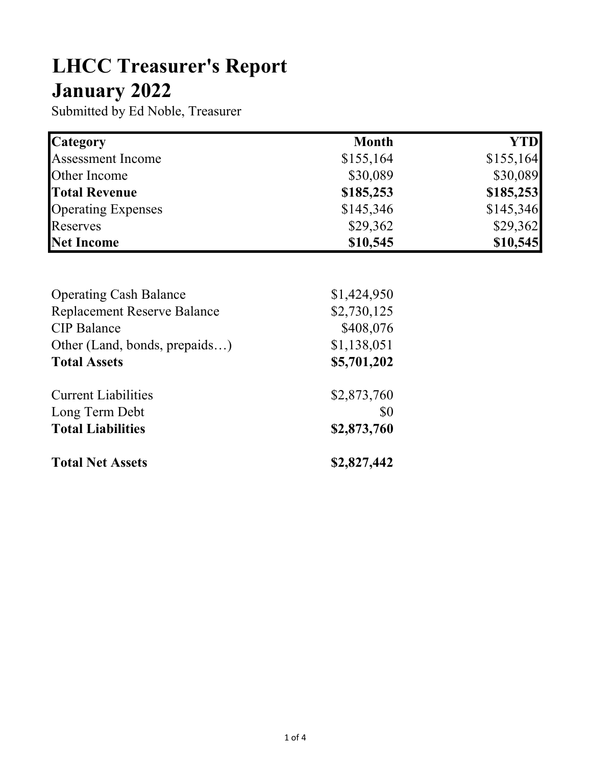## LHCC Treasurer's Report January 2022

Submitted by Ed Noble, Treasurer

| <b>Category</b>           | <b>Month</b> | YTD       |
|---------------------------|--------------|-----------|
| <b>Assessment Income</b>  | \$155,164    | \$155,164 |
| Other Income              | \$30,089     | \$30,089  |
| <b>Total Revenue</b>      | \$185,253    | \$185,253 |
| <b>Operating Expenses</b> | \$145,346    | \$145,346 |
| Reserves                  | \$29,362     | \$29,362  |
| Net Income                | \$10,545     | \$10,545  |

| <b>Operating Cash Balance</b>      | \$1,424,950 |
|------------------------------------|-------------|
| <b>Replacement Reserve Balance</b> | \$2,730,125 |
| <b>CIP</b> Balance                 | \$408,076   |
| Other (Land, bonds, prepaids)      | \$1,138,051 |
| <b>Total Assets</b>                | \$5,701,202 |
| <b>Current Liabilities</b>         | \$2,873,760 |
| Long Term Debt                     | \$0         |
| <b>Total Liabilities</b>           | \$2,873,760 |
| <b>Total Net Assets</b>            | \$2,827,442 |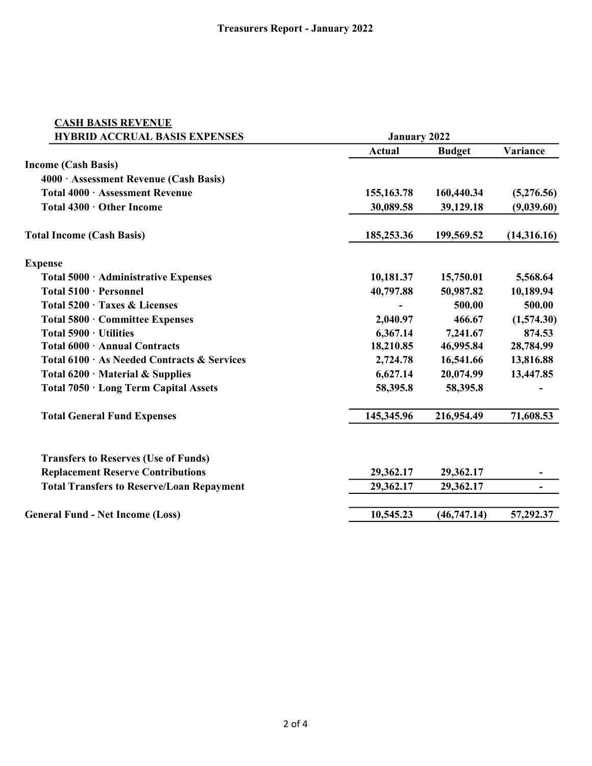| <b>CASH BASIS REVENUE</b>                        |                                   |                                                                     |                                                                       |  |
|--------------------------------------------------|-----------------------------------|---------------------------------------------------------------------|-----------------------------------------------------------------------|--|
| <b>HYBRID ACCRUAL BASIS EXPENSES</b>             |                                   | <b>January 2022</b>                                                 |                                                                       |  |
|                                                  | Actual                            | <b>Budget</b>                                                       | Variance                                                              |  |
| <b>Income (Cash Basis)</b>                       |                                   |                                                                     |                                                                       |  |
| 4000 · Assessment Revenue (Cash Basis)           |                                   |                                                                     |                                                                       |  |
| Total 4000 · Assessment Revenue                  | 155, 163. 78                      | 160,440.34                                                          | (5,276.56)                                                            |  |
| Total 4300 · Other Income                        | 30,089.58                         | 39,129.18                                                           | (9,039.60)                                                            |  |
| <b>Total Income (Cash Basis)</b>                 | 185,253.36                        | 199,569.52                                                          | (14,316.16)                                                           |  |
| <b>Expense</b>                                   |                                   |                                                                     |                                                                       |  |
| Total 5000 · Administrative Expenses             | 10,181.37                         | 15,750.01                                                           | 5,568.64                                                              |  |
| Total 5100 · Personnel                           | 40,797.88                         | 50,987.82                                                           | 10,189.94                                                             |  |
| Total 5200 · Taxes & Licenses                    | 2,040.97<br>6,367.14<br>18,210.85 | 500.00<br>466.67<br>7,241.67<br>46,995.84<br>16,541.66<br>20,074.99 | 500.00<br>(1,574.30)<br>874.53<br>28,784.99<br>13,816.88<br>13,447.85 |  |
| Total 5800 · Committee Expenses                  |                                   |                                                                     |                                                                       |  |
| Total $5900 \cdot$ Utilities                     |                                   |                                                                     |                                                                       |  |
| Total 6000 · Annual Contracts                    |                                   |                                                                     |                                                                       |  |
| Total 6100 · As Needed Contracts & Services      | 2,724.78                          |                                                                     |                                                                       |  |
| Total 6200 · Material & Supplies                 | 6,627.14                          |                                                                     |                                                                       |  |
| Total 7050 · Long Term Capital Assets            | 58,395.8                          | 58,395.8                                                            |                                                                       |  |
| <b>Total General Fund Expenses</b>               | 145,345.96                        | 216,954.49                                                          | 71,608.53                                                             |  |
| <b>Transfers to Reserves (Use of Funds)</b>      |                                   |                                                                     |                                                                       |  |
| <b>Replacement Reserve Contributions</b>         | 29,362.17                         | 29,362.17                                                           | ۰                                                                     |  |
| <b>Total Transfers to Reserve/Loan Repayment</b> | 29,362.17                         | 29,362.17                                                           | ۰                                                                     |  |
| <b>General Fund - Net Income (Loss)</b>          | 10,545.23                         | (46,747.14)                                                         | 57,292.37                                                             |  |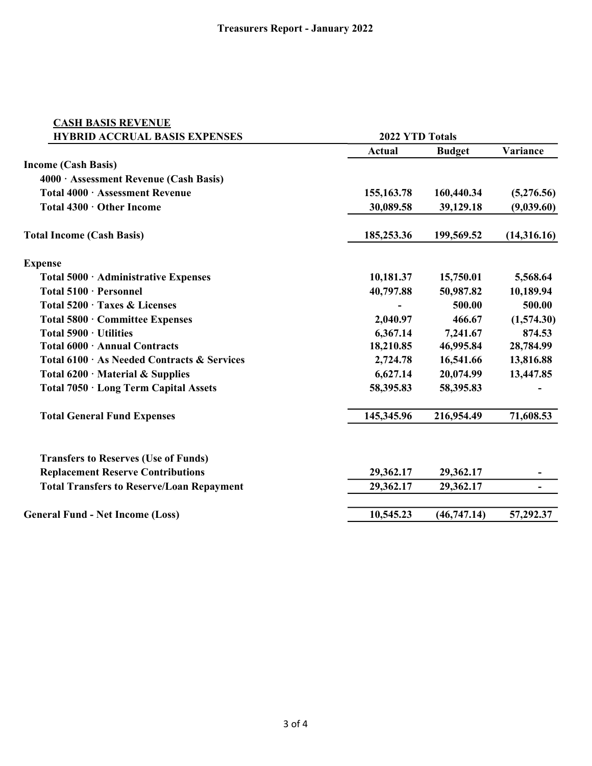| <b>CASH BASIS REVENUE</b>                        |                                                           |                                                                     |                                                                       |  |
|--------------------------------------------------|-----------------------------------------------------------|---------------------------------------------------------------------|-----------------------------------------------------------------------|--|
| <b>HYBRID ACCRUAL BASIS EXPENSES</b>             |                                                           | 2022 YTD Totals                                                     |                                                                       |  |
|                                                  | Actual                                                    | <b>Budget</b>                                                       | Variance                                                              |  |
| <b>Income (Cash Basis)</b>                       |                                                           |                                                                     |                                                                       |  |
| 4000 · Assessment Revenue (Cash Basis)           |                                                           |                                                                     |                                                                       |  |
| Total 4000 · Assessment Revenue                  | 155, 163. 78                                              | 160,440.34                                                          | (5,276.56)                                                            |  |
| Total 4300 · Other Income                        | 30,089.58                                                 | 39,129.18                                                           | (9,039.60)                                                            |  |
| <b>Total Income (Cash Basis)</b>                 | 185,253.36                                                | 199,569.52                                                          | (14,316.16)                                                           |  |
| <b>Expense</b>                                   |                                                           |                                                                     |                                                                       |  |
| Total 5000 · Administrative Expenses             | 10,181.37                                                 | 15,750.01                                                           | 5,568.64                                                              |  |
| Total 5100 · Personnel                           | 40,797.88                                                 | 50,987.82                                                           | 10,189.94                                                             |  |
| Total 5200 · Taxes & Licenses                    | 2,040.97<br>6,367.14<br>18,210.85<br>2,724.78<br>6,627.14 | 500.00<br>466.67<br>7,241.67<br>46,995.84<br>16,541.66<br>20,074.99 | 500.00<br>(1,574.30)<br>874.53<br>28,784.99<br>13,816.88<br>13,447.85 |  |
| Total 5800 · Committee Expenses                  |                                                           |                                                                     |                                                                       |  |
| Total 5900 · Utilities                           |                                                           |                                                                     |                                                                       |  |
| Total 6000 · Annual Contracts                    |                                                           |                                                                     |                                                                       |  |
| Total 6100 · As Needed Contracts & Services      |                                                           |                                                                     |                                                                       |  |
| Total $6200 \cdot$ Material & Supplies           |                                                           |                                                                     |                                                                       |  |
| Total 7050 · Long Term Capital Assets            | 58,395.83                                                 | 58,395.83                                                           |                                                                       |  |
| <b>Total General Fund Expenses</b>               | 145,345.96                                                | 216,954.49                                                          | 71,608.53                                                             |  |
| <b>Transfers to Reserves (Use of Funds)</b>      |                                                           |                                                                     |                                                                       |  |
| <b>Replacement Reserve Contributions</b>         | 29,362.17                                                 | 29,362.17                                                           |                                                                       |  |
| <b>Total Transfers to Reserve/Loan Repayment</b> | 29,362.17                                                 | 29,362.17                                                           | ۰                                                                     |  |
| <b>General Fund - Net Income (Loss)</b>          | 10,545.23                                                 | (46,747.14)                                                         | 57,292.37                                                             |  |